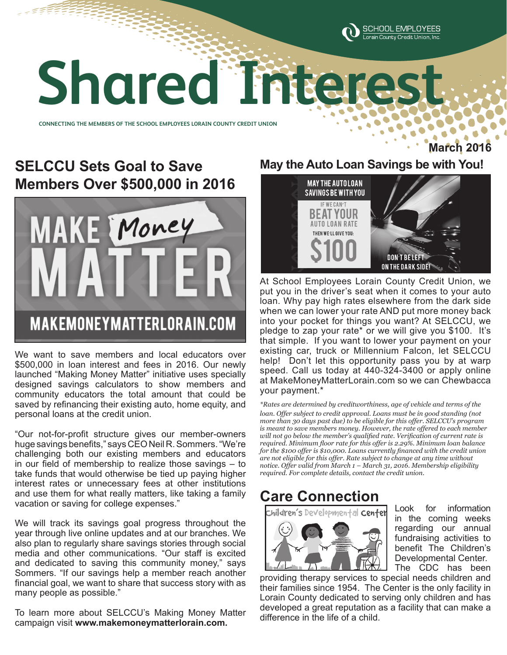

# **Shared Interest Shared Interest**

**CONNECTING THE MEMBERS OF THE SCHOOL EMPLOYEES LORAIN COUNTY CREDIT UNION CONNECTING THE MEMBERS OF THE SCHOOL EMPLOYEES LORAIN COUNTY CREDIT UNION** 

## **SELCCU Sets Goal to Save Members Over \$500,000 in 2016**



We want to save members and local educators over \$500,000 in loan interest and fees in 2016. Our newly launched "Making Money Matter" initiative uses specially designed savings calculators to show members and community educators the total amount that could be saved by refinancing their existing auto, home equity, and personal loans at the credit union.

"Our not-for-profit structure gives our member-owners huge savings benefits," says CEO Neil R. Sommers. "We're challenging both our existing members and educators in our field of membership to realize those savings – to take funds that would otherwise be tied up paying higher interest rates or unnecessary fees at other institutions and use them for what really matters, like taking a family vacation or saving for college expenses."

We will track its savings goal progress throughout the year through live online updates and at our branches. We also plan to regularly share savings stories through social media and other communications. "Our staff is excited and dedicated to saving this community money," says Sommers. "If our savings help a member reach another financial goal, we want to share that success story with as many people as possible."

To learn more about SELCCU's Making Money Matter campaign visit **www.makemoneymatterlorain.com.**

#### **May the Auto Loan Savings be with You!**

**March** 



At School Employees Lorain County Credit Union, we put you in the driver's seat when it comes to your auto loan. Why pay high rates elsewhere from the dark side when we can lower your rate AND put more money back into your pocket for things you want? At SELCCU, we pledge to zap your rate\* or we will give you \$100. It's that simple. If you want to lower your payment on your existing car, truck or Millennium Falcon, let SELCCU help! Don't let this opportunity pass you by at warp speed. Call us today at 440-324-3400 or apply online at MakeMoneyMatterLorain.com so we can Chewbacca your payment.\*

*\*Rates are determined by creditworthiness, age of vehicle and terms of the*  loan. Offer subject to credit approval. Loans must be in good standing (not *more than 30 days past due) to be eligible for this offer. SELCCU's program is meant to save members money. However, the rate offered to each member will not go below the member's qualified rate. Verification of current rate is required. Minimum floor rate for this offer is 2.29%. Minimum loan balance for the \$100 offer is \$10,000. Loans currently financed with the credit union are not eligible for this offer. Rate subject to change at any time without notice. Offer valid from March 1 – March 31, 2016. Membership eligibility required. For complete details, contact the credit union.*

## **Care Connection**



Look for information in the coming weeks regarding our annual fundraising activities to benefit The Children's Developmental Center. The CDC has been

providing therapy services to special needs children and their families since 1954. The Center is the only facility in Lorain County dedicated to serving only children and has developed a great reputation as a facility that can make a difference in the life of a child.